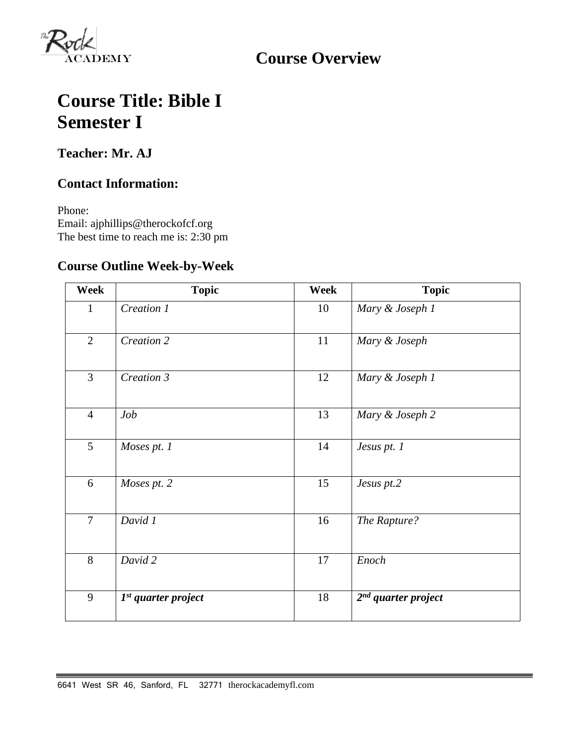

**Course Overview**

# **Course Title: Bible I Semester I**

**Teacher: Mr. AJ** 

### **Contact Information:**

Phone: Email: ajphillips@therockofcf.org The best time to reach me is: 2:30 pm

### **Course Outline Week-by-Week**

| Week           | <b>Topic</b>          | <b>Week</b> | <b>Topic</b>          |
|----------------|-----------------------|-------------|-----------------------|
| $\mathbf{1}$   | Creation 1            | 10          | Mary & Joseph 1       |
| $\overline{2}$ | Creation 2            | 11          | Mary & Joseph         |
| $\overline{3}$ | Creation 3            | 12          | Mary & Joseph 1       |
| $\overline{4}$ | Job                   | 13          | Mary & Joseph 2       |
| 5              | Moses pt. 1           | 14          | Jesus pt. 1           |
| 6              | Moses pt. 2           | 15          | Jesus pt.2            |
| $\overline{7}$ | David 1               | 16          | The Rapture?          |
| 8              | David 2               | 17          | Enoch                 |
| 9              | $Ist$ quarter project | 18          | $2nd$ quarter project |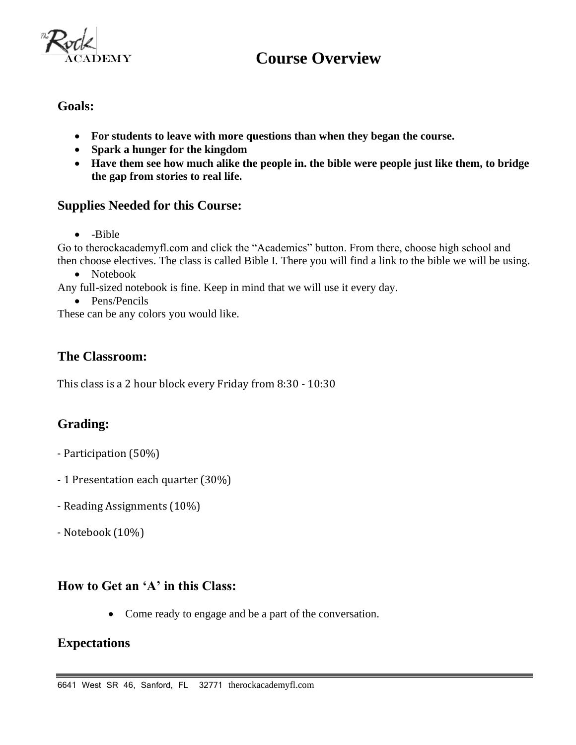

## **Course Overview**

**Goals:**

- **For students to leave with more questions than when they began the course.**
- **Spark a hunger for the kingdom**
- **Have them see how much alike the people in. the bible were people just like them, to bridge the gap from stories to real life.**

#### **Supplies Needed for this Course:**

• -Bible

Go to therockacademyfl.com and click the "Academics" button. From there, choose high school and then choose electives. The class is called Bible I. There you will find a link to the bible we will be using.

• Notebook

Any full-sized notebook is fine. Keep in mind that we will use it every day.

• Pens/Pencils

These can be any colors you would like.

#### **The Classroom:**

This class is a 2 hour block every Friday from 8:30 - 10:30

#### **Grading:**

- Participation (50%)
- 1 Presentation each quarter (30%)
- Reading Assignments (10%)
- Notebook (10%)

#### **How to Get an 'A' in this Class:**

• Come ready to engage and be a part of the conversation.

#### **Expectations**